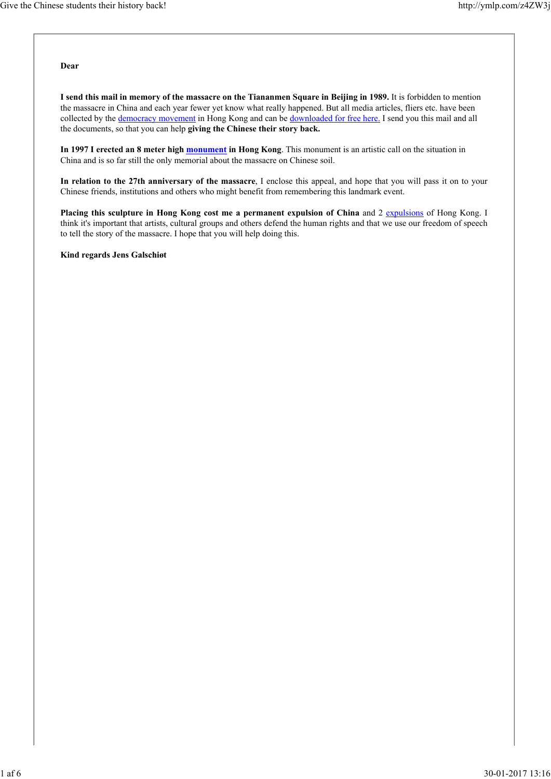**Dear**

**I send this mail in memory of the massacre on the Tiananmen Square in Beijing in 1989.** It is forbidden to mention the massacre in China and each year fewer yet know what really happened. But all media articles, fliers etc. have been collected by the democracy movement in Hong Kong and can be downloaded for free here. I send you this mail and all the documents, so that you can help **giving the Chinese their story back.**

**In 1997 I erected an 8 meter high monument in Hong Kong**. This monument is an artistic call on the situation in China and is so far still the only memorial about the massacre on Chinese soil.

**In relation to the 27th anniversary of the massacre**, I enclose this appeal, and hope that you will pass it on to your Chinese friends, institutions and others who might benefit from remembering this landmark event.

Placing this sculpture in Hong Kong cost me a permanent expulsion of China and 2 expulsions of Hong Kong. I think it's important that artists, cultural groups and others defend the human rights and that we use our freedom of speech to tell the story of the massacre. I hope that you will help doing this.

**Kind regards Jens Galschiøt**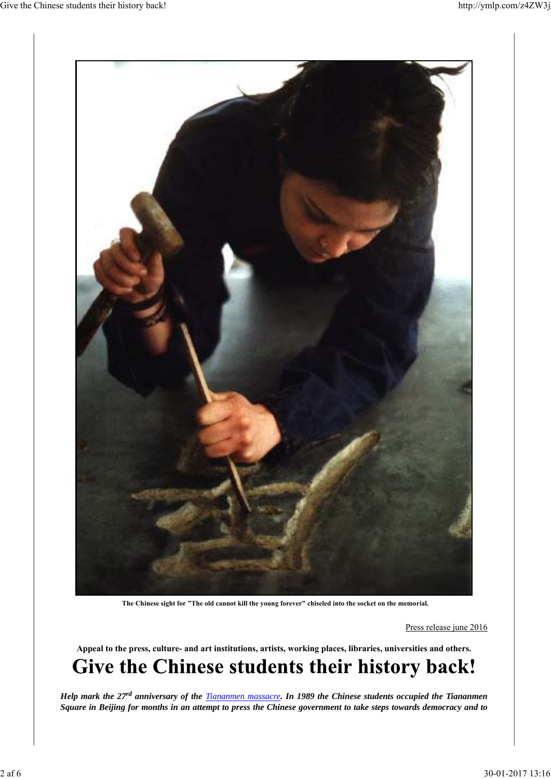

**The Chinese sight for "The old cannot kill the young forever" chiseled into the socket on the memorial.**

Press release june 2016

**Appeal to the press, culture- and art institutions, artists, working places, libraries, universities and others.** Give the Chinese students their history back!

*Help mark the 27rd anniversary of the Tiananmen massacre. In 1989 the Chinese students occupied the Tiananmen Square in Beijing for months in an attempt to press the Chinese government to take steps towards democracy and to*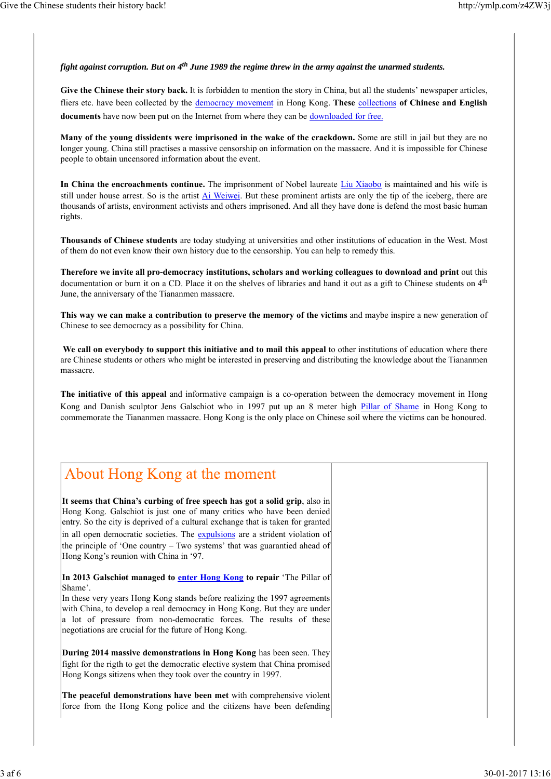### *fight against corruption. But on 4th June 1989 the regime threw in the army against the unarmed students.*

Give the Chinese their story back. It is forbidden to mention the story in China, but all the students' newspaper articles, fliers etc. have been collected by the democracy movement in Hong Kong. **These** collections **of Chinese and English documents** have now been put on the Internet from where they can be downloaded for free.

**Many of the young dissidents were imprisoned in the wake of the crackdown.** Some are still in jail but they are no longer young. China still practises a massive censorship on information on the massacre. And it is impossible for Chinese people to obtain uncensored information about the event.

**In China the encroachments continue.** The imprisonment of Nobel laureate Liu Xiaobo is maintained and his wife is still under house arrest. So is the artist *Ai Weiwei*. But these prominent artists are only the tip of the iceberg, there are thousands of artists, environment activists and others imprisoned. And all they have done is defend the most basic human rights.

**Thousands of Chinese students** are today studying at universities and other institutions of education in the West. Most of them do not even know their own history due to the censorship. You can help to remedy this.

**Therefore we invite all pro-democracy institutions, scholars and working colleagues to download and print** out this documentation or burn it on a CD. Place it on the shelves of libraries and hand it out as a gift to Chinese students on 4<sup>th</sup> June, the anniversary of the Tiananmen massacre.

**This way we can make a contribution to preserve the memory of the victims** and maybe inspire a new generation of Chinese to see democracy as a possibility for China.

**We call on everybody to support this initiative and to mail this appeal** to other institutions of education where there are Chinese students or others who might be interested in preserving and distributing the knowledge about the Tiananmen massacre.

**The initiative of this appeal** and informative campaign is a co-operation between the democracy movement in Hong Kong and Danish sculptor Jens Galschiot who in 1997 put up an 8 meter high Pillar of Shame in Hong Kong to commemorate the Tiananmen massacre. Hong Kong is the only place on Chinese soil where the victims can be honoured.

# About Hong Kong at the moment

**It seems that China's curbing of free speech has got a solid grip**, also in Hong Kong. Galschiot is just one of many critics who have been denied entry. So the city is deprived of a cultural exchange that is taken for granted in all open democratic societies. The expulsions are a strident violation of the principle of 'One country – Two systems' that was guarantied ahead of Hong Kong's reunion with China in '97.

**In 2013 Galschiøt managed to enter Hong Kong to repair** 'The Pillar of Shame'.

In these very years Hong Kong stands before realizing the 1997 agreements with China, to develop a real democracy in Hong Kong. But they are under a lot of pressure from non-democratic forces. The results of these negotiations are crucial for the future of Hong Kong.

**During 2014 massive demonstrations in Hong Kong** has been seen. They fight for the rigth to get the democratic elective system that China promised Hong Kongs sitizens when they took over the country in 1997.

**The peaceful demonstrations have been met** with comprehensive violent force from the Hong Kong police and the citizens have been defending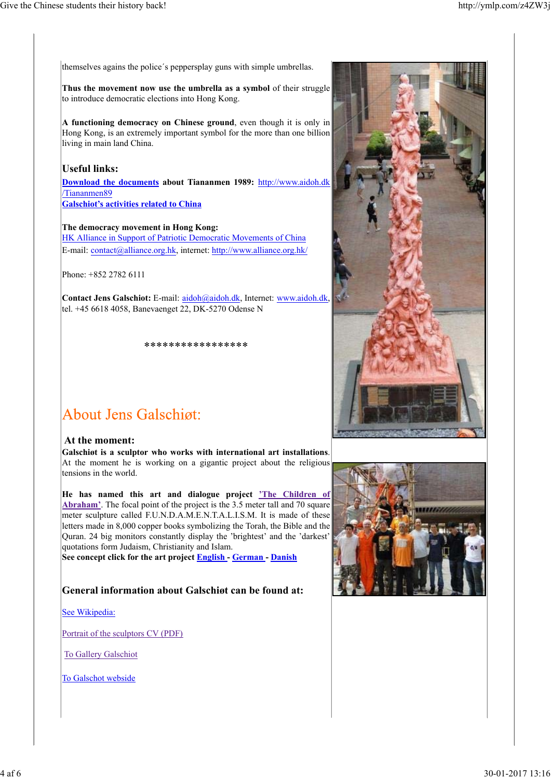themselves agains the police´s peppersplay guns with simple umbrellas.

**Thus the movement now use the umbrella as a symbol** of their struggle to introduce democratic elections into Hong Kong.

**A functioning democracy on Chinese ground**, even though it is only in Hong Kong, is an extremely important symbol for the more than one billion living in main land China.

## **Useful links:**

**Download the documents about Tiananmen 1989:** http://www.aidoh.dk /Tiananmen89 **Galschiot's activities related to China**

#### **The democracy movement in Hong Kong:**

HK Alliance in Support of Patriotic Democratic Movements of China E-mail: contact@alliance.org.hk, internet: http://www.alliance.org.hk/

Phone: +852 2782 6111

**Contact Jens Galschiot:** E-mail: aidoh@aidoh.dk, Internet: www.aidoh.dk, tel. +45 6618 4058, Banevaenget 22, DK-5270 Odense N

\*\*\*\*\*\*\*\*\*\*\*\*\*\*\*\*\*

# **About Jens Galschigt:**

#### **At the moment:**

**Galschiøt is a sculptor who works with international art installations**. At the moment he is working on a gigantic project about the religious tensions in the world.

**He has named this art and dialogue project 'The Children of Abraham'**. The focal point of the project is the 3.5 meter tall and 70 square meter sculpture called F.U.N.D.A.M.E.N.T.A.L.I.S.M. It is made of these letters made in 8,000 copper books symbolizing the Torah, the Bible and the Quran. 24 big monitors constantly display the 'brightest' and the 'darkest' quotations form Judaism, Christianity and Islam.

**See concept click for the art project English - German - Danish**

## **General information about Galschiøt can be found at:**

See Wikipedia:

Portrait of the sculptors CV (PDF)

To Gallery Galschiot

To Galschot webside



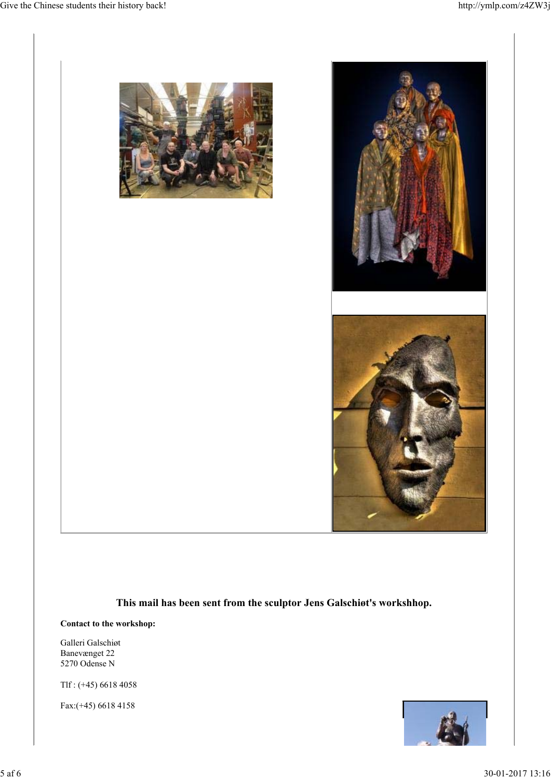

**This mail has been sent from the sculptor Jens Galschiøt's workshhop.**

**Contact to the workshop:**

Galleri Galschiøt Banevænget 22 5270 Odense N

Tlf : (+45) 6618 4058

Fax:(+45) 6618 4158